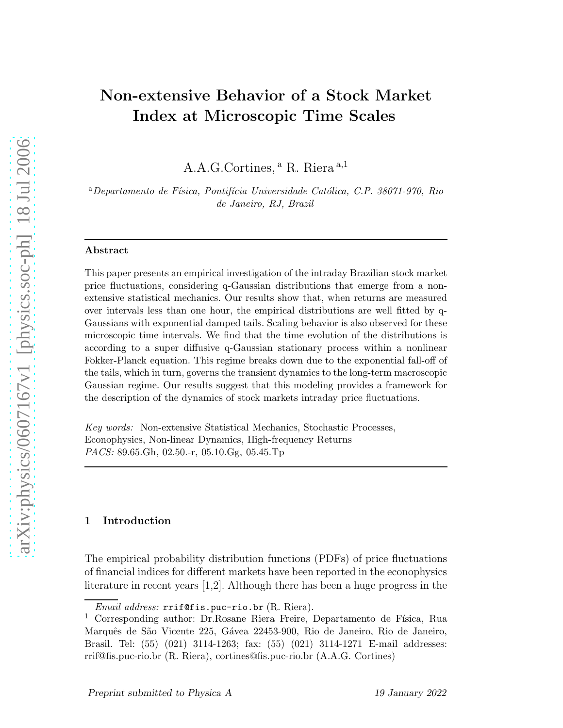# Non-extensive Behavior of a Stock Market Index at Microscopic Time Scales

A.A.G.Cortines, <sup>a</sup> R. Riera<sup>a,1</sup>

<sup>a</sup>Departamento de Física, Pontifícia Universidade Católica, C.P. 38071-970, Rio de Janeiro, RJ, Brazil

#### Abstract

This paper presents an empirical investigation of the intraday Brazilian stock market price fluctuations, considering q-Gaussian distributions that emerge from a nonextensive statistical mechanics. Our results show that, when returns are measured over intervals less than one hour, the empirical distributions are well fitted by q-Gaussians with exponential damped tails. Scaling behavior is also observed for these microscopic time intervals. We find that the time evolution of the distributions is according to a super diffusive q-Gaussian stationary process within a nonlinear Fokker-Planck equation. This regime breaks down due to the exponential fall-off of the tails, which in turn, governs the transient dynamics to the long-term macroscopic Gaussian regime. Our results suggest that this modeling provides a framework for the description of the dynamics of stock markets intraday price fluctuations.

Key words: Non-extensive Statistical Mechanics, Stochastic Processes, Econophysics, Non-linear Dynamics, High-frequency Returns PACS: 89.65.Gh, 02.50.-r, 05.10.Gg, 05.45.Tp

## 1 Introduction

The empirical probability distribution functions (PDFs) of price fluctuations of financial indices for different markets have been reported in the econophysics literature in recent years [1,2]. Although there has been a huge progress in the

 $Email$  address:  $rrif@fis.puc-rio.br (R. Riera).$ 

<sup>&</sup>lt;sup>1</sup> Corresponding author: Dr.Rosane Riera Freire, Departamento de Física, Rua Marquês de São Vicente 225, Gávea 22453-900, Rio de Janeiro, Rio de Janeiro, Brasil. Tel: (55) (021) 3114-1263; fax: (55) (021) 3114-1271 E-mail addresses: rrif@fis.puc-rio.br (R. Riera), cortines@fis.puc-rio.br (A.A.G. Cortines)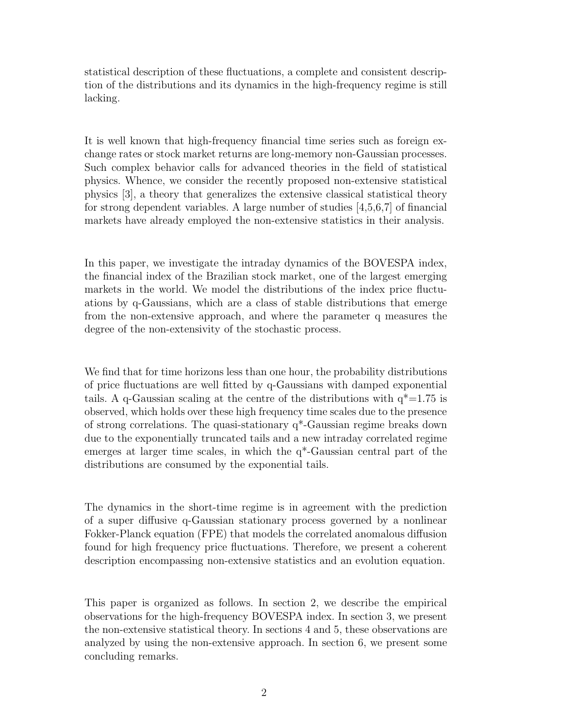statistical description of these fluctuations, a complete and consistent description of the distributions and its dynamics in the high-frequency regime is still lacking.

It is well known that high-frequency financial time series such as foreign exchange rates or stock market returns are long-memory non-Gaussian processes. Such complex behavior calls for advanced theories in the field of statistical physics. Whence, we consider the recently proposed non-extensive statistical physics [3], a theory that generalizes the extensive classical statistical theory for strong dependent variables. A large number of studies [4,5,6,7] of financial markets have already employed the non-extensive statistics in their analysis.

In this paper, we investigate the intraday dynamics of the BOVESPA index, the financial index of the Brazilian stock market, one of the largest emerging markets in the world. We model the distributions of the index price fluctuations by q-Gaussians, which are a class of stable distributions that emerge from the non-extensive approach, and where the parameter q measures the degree of the non-extensivity of the stochastic process.

We find that for time horizons less than one hour, the probability distributions of price fluctuations are well fitted by q-Gaussians with damped exponential tails. A q-Gaussian scaling at the centre of the distributions with  $q^*$ =1.75 is observed, which holds over these high frequency time scales due to the presence of strong correlations. The quasi-stationary q\*-Gaussian regime breaks down due to the exponentially truncated tails and a new intraday correlated regime emerges at larger time scales, in which the q\*-Gaussian central part of the distributions are consumed by the exponential tails.

The dynamics in the short-time regime is in agreement with the prediction of a super diffusive q-Gaussian stationary process governed by a nonlinear Fokker-Planck equation (FPE) that models the correlated anomalous diffusion found for high frequency price fluctuations. Therefore, we present a coherent description encompassing non-extensive statistics and an evolution equation.

This paper is organized as follows. In section 2, we describe the empirical observations for the high-frequency BOVESPA index. In section 3, we present the non-extensive statistical theory. In sections 4 and 5, these observations are analyzed by using the non-extensive approach. In section 6, we present some concluding remarks.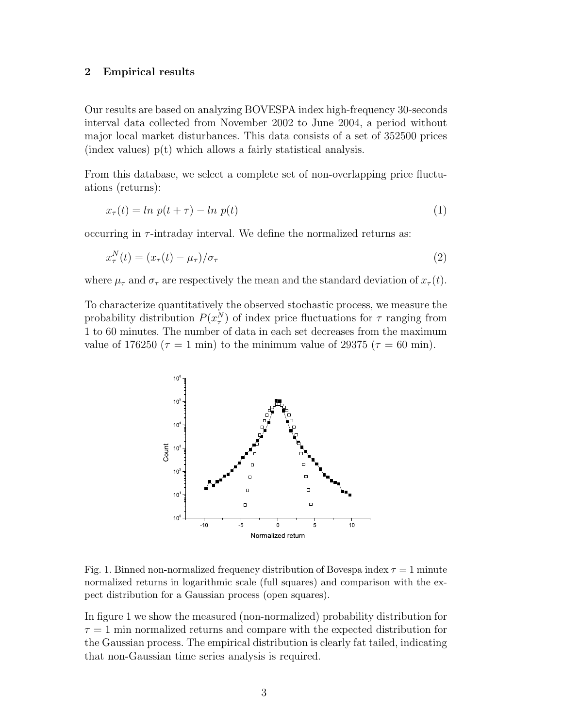#### 2 Empirical results

Our results are based on analyzing BOVESPA index high-frequency 30-seconds interval data collected from November 2002 to June 2004, a period without major local market disturbances. This data consists of a set of 352500 prices  $(\text{index values})$   $p(t)$  which allows a fairly statistical analysis.

From this database, we select a complete set of non-overlapping price fluctuations (returns):

$$
x_{\tau}(t) = \ln p(t + \tau) - \ln p(t) \tag{1}
$$

occurring in  $\tau$ -intraday interval. We define the normalized returns as:

$$
x_{\tau}^{N}(t) = (x_{\tau}(t) - \mu_{\tau})/\sigma_{\tau}
$$
\n<sup>(2)</sup>

where  $\mu_{\tau}$  and  $\sigma_{\tau}$  are respectively the mean and the standard deviation of  $x_{\tau}(t)$ .

To characterize quantitatively the observed stochastic process, we measure the probability distribution  $P(x_{\tau}^N)$  of index price fluctuations for  $\tau$  ranging from 1 to 60 minutes. The number of data in each set decreases from the maximum value of 176250 ( $\tau = 1$  min) to the minimum value of 29375 ( $\tau = 60$  min).



Fig. 1. Binned non-normalized frequency distribution of Bovespa index  $\tau = 1$  minute normalized returns in logarithmic scale (full squares) and comparison with the expect distribution for a Gaussian process (open squares).

In figure 1 we show the measured (non-normalized) probability distribution for  $\tau = 1$  min normalized returns and compare with the expected distribution for the Gaussian process. The empirical distribution is clearly fat tailed, indicating that non-Gaussian time series analysis is required.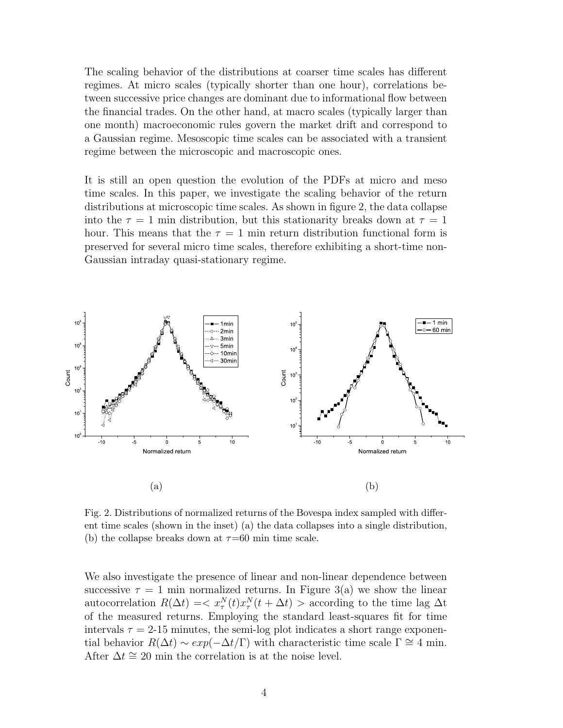The scaling behavior of the distributions at coarser time scales has different regimes. At micro scales (typically shorter than one hour), correlations between successive price changes are dominant due to informational flow between the financial trades. On the other hand, at macro scales (typically larger than one month) macroeconomic rules govern the market drift and correspond to a Gaussian regime. Mesoscopic time scales can be associated with a transient regime between the microscopic and macroscopic ones.

It is still an open question the evolution of the PDFs at micro and meso time scales. In this paper, we investigate the scaling behavior of the return distributions at microscopic time scales. As shown in figure 2, the data collapse into the  $\tau = 1$  min distribution, but this stationarity breaks down at  $\tau = 1$ hour. This means that the  $\tau = 1$  min return distribution functional form is preserved for several micro time scales, therefore exhibiting a short-time non-Gaussian intraday quasi-stationary regime.



Fig. 2. Distributions of normalized returns of the Bovespa index sampled with different time scales (shown in the inset) (a) the data collapses into a single distribution, (b) the collapse breaks down at  $\tau$ =60 min time scale.

We also investigate the presence of linear and non-linear dependence between successive  $\tau = 1$  min normalized returns. In Figure 3(a) we show the linear autocorrelation  $R(\Delta t) = \langle x_\tau^N(t) x_\tau^N(t + \Delta t) \rangle$  according to the time lag  $\Delta t$ of the measured returns. Employing the standard least-squares fit for time intervals  $\tau = 2-15$  minutes, the semi-log plot indicates a short range exponential behavior  $R(\Delta t) \sim exp(-\Delta t/\Gamma)$  with characteristic time scale  $\Gamma \cong 4$  min. After  $\Delta t \approx 20$  min the correlation is at the noise level.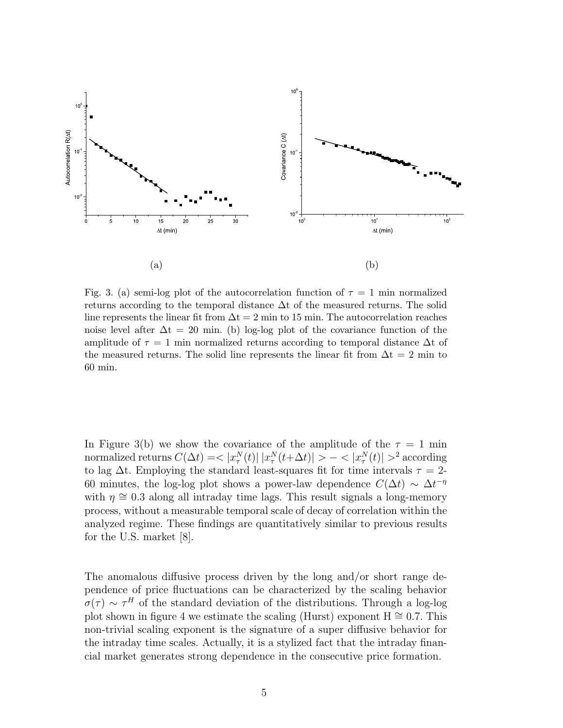

Fig. 3. (a) semi-log plot of the autocorrelation function of  $\tau = 1$  min normalized returns according to the temporal distance  $\Delta t$  of the measured returns. The solid line represents the linear fit from  $\Delta t = 2$  min to 15 min. The autocorrelation reaches noise level after  $\Delta t = 20$  min. (b) log-log plot of the covariance function of the amplitude of  $\tau = 1$  min normalized returns according to temporal distance  $\Delta t$  of the measured returns. The solid line represents the linear fit from  $\Delta t = 2$  min to 60 min.

In Figure 3(b) we show the covariance of the amplitude of the  $\tau = 1$  min normalized returns  $C(\Delta t)=<|x_\tau^N(t)|\;|x_\tau^N(t+\Delta t)|>-<|x_\tau^N(t)|>^2$  according to lag  $\Delta t$ . Employing the standard least-squares fit for time intervals  $\tau = 2$ -60 minutes, the log-log plot shows a power-law dependence  $C(\Delta t) \sim \Delta t^{-\eta}$ with  $\eta \approx 0.3$  along all intraday time lags. This result signals a long-memory process, without a measurable temporal scale of decay of correlation within the analyzed regime. These findings are quantitatively similar to previous results for the U.S. market [8].

The anomalous diffusive process driven by the long and/or short range dependence of price fluctuations can be characterized by the scaling behavior  $\sigma(\tau) \sim \tau^H$  of the standard deviation of the distributions. Through a log-log plot shown in figure 4 we estimate the scaling (Hurst) exponent  $H \approx 0.7$ . This non-trivial scaling exponent is the signature of a super diffusive behavior for the intraday time scales. Actually, it is a stylized fact that the intraday financial market generates strong dependence in the consecutive price formation.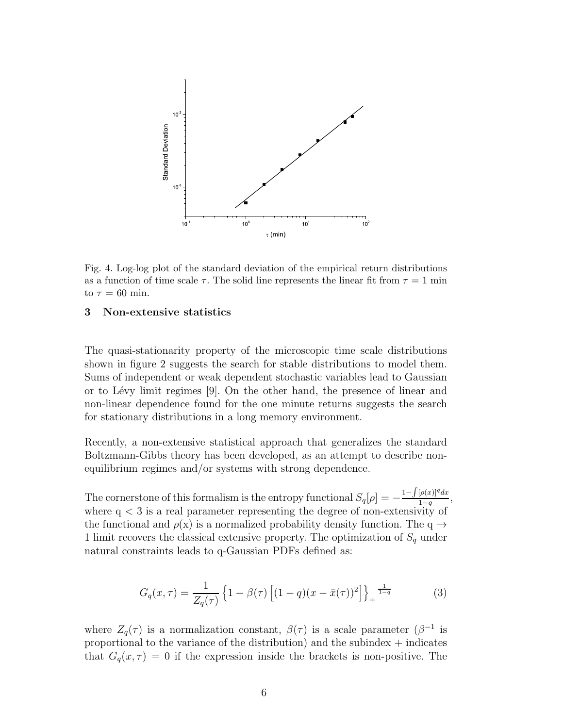

Fig. 4. Log-log plot of the standard deviation of the empirical return distributions as a function of time scale  $\tau$ . The solid line represents the linear fit from  $\tau = 1$  min to  $\tau = 60$  min.

#### 3 Non-extensive statistics

The quasi-stationarity property of the microscopic time scale distributions shown in figure 2 suggests the search for stable distributions to model them. Sums of independent or weak dependent stochastic variables lead to Gaussian or to Lévy limit regimes  $[9]$ . On the other hand, the presence of linear and non-linear dependence found for the one minute returns suggests the search for stationary distributions in a long memory environment.

Recently, a non-extensive statistical approach that generalizes the standard Boltzmann-Gibbs theory has been developed, as an attempt to describe nonequilibrium regimes and/or systems with strong dependence.

The cornerstone of this formalism is the entropy functional  $S_q[\rho] = -\frac{1-\int [\rho(x)]^q dx}{1-q}$  $\frac{\prod_{p(x)} a_x}{1-q},$ where  $q < 3$  is a real parameter representing the degree of non-extensivity of the functional and  $\rho(x)$  is a normalized probability density function. The q  $\rightarrow$ 1 limit recovers the classical extensive property. The optimization of  $S_q$  under natural constraints leads to q-Gaussian PDFs defined as:

$$
G_q(x,\tau) = \frac{1}{Z_q(\tau)} \left\{ 1 - \beta(\tau) \left[ (1-q)(x - \bar{x}(\tau))^2 \right] \right\}_+^{\frac{1}{1-q}} \tag{3}
$$

where  $Z_q(\tau)$  is a normalization constant,  $\beta(\tau)$  is a scale parameter  $(\beta^{-1}$  is proportional to the variance of the distribution) and the subindex  $+$  indicates that  $G_q(x, \tau) = 0$  if the expression inside the brackets is non-positive. The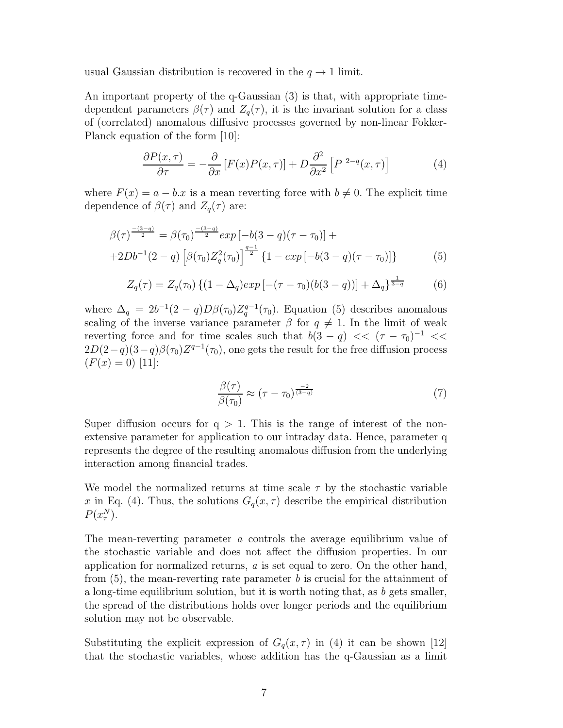usual Gaussian distribution is recovered in the  $q \to 1$  limit.

An important property of the q-Gaussian (3) is that, with appropriate timedependent parameters  $\beta(\tau)$  and  $Z_q(\tau)$ , it is the invariant solution for a class of (correlated) anomalous diffusive processes governed by non-linear Fokker-Planck equation of the form [10]:

$$
\frac{\partial P(x,\tau)}{\partial \tau} = -\frac{\partial}{\partial x} \left[ F(x)P(x,\tau) \right] + D \frac{\partial^2}{\partial x^2} \left[ P^{-2-q}(x,\tau) \right] \tag{4}
$$

where  $F(x) = a - b \cdot x$  is a mean reverting force with  $b \neq 0$ . The explicit time dependence of  $\beta(\tau)$  and  $Z_q(\tau)$  are:

$$
\beta(\tau)^{\frac{-(3-q)}{2}} = \beta(\tau_0)^{\frac{-(3-q)}{2}} \exp\left[-b(3-q)(\tau-\tau_0)\right] +
$$
  
+2Db<sup>-1</sup>(2-q) \left[\beta(\tau\_0)Z\_q^2(\tau\_0)\right]^{\frac{q-1}{2}} \{1 - \exp\left[-b(3-q)(\tau-\tau\_0)\right]\} (5)

$$
Z_q(\tau) = Z_q(\tau_0) \left\{ (1 - \Delta_q) exp\left[ -(\tau - \tau_0) (b(3 - q)) \right] + \Delta_q \right\}^{\frac{1}{3 - q}} \tag{6}
$$

where  $\Delta_q = 2b^{-1}(2-q)D\beta(\tau_0)Z_q^{q-1}(\tau_0)$ . Equation (5) describes anomalous scaling of the inverse variance parameter  $\beta$  for  $q \neq 1$ . In the limit of weak reverting force and for time scales such that  $b(3-q) \ll (\tau - \tau_0)^{-1} \ll$  $2D(2-q)(3-q)\beta(\tau_0)Z^{q-1}(\tau_0)$ , one gets the result for the free diffusion process  $(F(x) = 0)$  [11]:

$$
\frac{\beta(\tau)}{\beta(\tau_0)} \approx (\tau - \tau_0)^{\frac{-2}{(3-q)}} \tag{7}
$$

Super diffusion occurs for  $q > 1$ . This is the range of interest of the nonextensive parameter for application to our intraday data. Hence, parameter q represents the degree of the resulting anomalous diffusion from the underlying interaction among financial trades.

We model the normalized returns at time scale  $\tau$  by the stochastic variable x in Eq. (4). Thus, the solutions  $G_q(x, \tau)$  describe the empirical distribution  $P(x_{\tau}^N)$ .

The mean-reverting parameter a controls the average equilibrium value of the stochastic variable and does not affect the diffusion properties. In our application for normalized returns, a is set equal to zero. On the other hand, from  $(5)$ , the mean-reverting rate parameter b is crucial for the attainment of a long-time equilibrium solution, but it is worth noting that, as  $b$  gets smaller, the spread of the distributions holds over longer periods and the equilibrium solution may not be observable.

Substituting the explicit expression of  $G_q(x, \tau)$  in (4) it can be shown [12] that the stochastic variables, whose addition has the q-Gaussian as a limit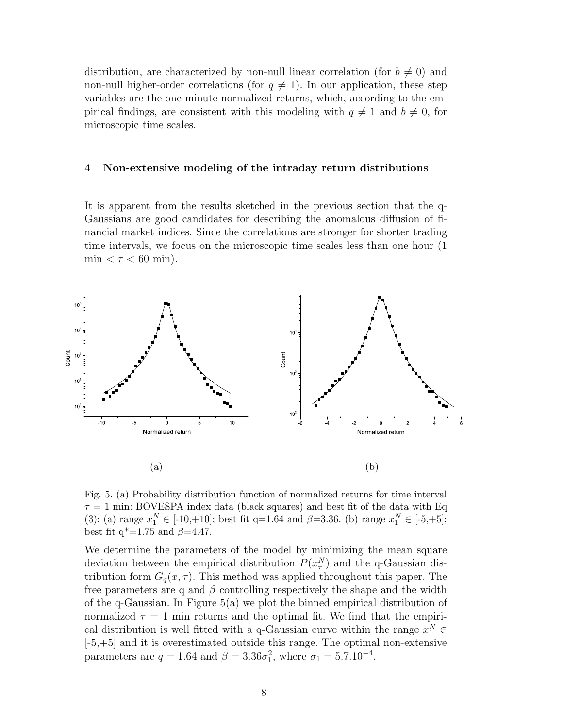distribution, are characterized by non-null linear correlation (for  $b \neq 0$ ) and non-null higher-order correlations (for  $q \neq 1$ ). In our application, these step variables are the one minute normalized returns, which, according to the empirical findings, are consistent with this modeling with  $q \neq 1$  and  $b \neq 0$ , for microscopic time scales.

#### 4 Non-extensive modeling of the intraday return distributions

It is apparent from the results sketched in the previous section that the q-Gaussians are good candidates for describing the anomalous diffusion of financial market indices. Since the correlations are stronger for shorter trading time intervals, we focus on the microscopic time scales less than one hour (1 min  $< \tau < 60$  min).



Fig. 5. (a) Probability distribution function of normalized returns for time interval  $\tau = 1$  min: BOVESPA index data (black squares) and best fit of the data with Eq (3): (a) range  $x_1^N \in [-10,+10]$ ; best fit q=1.64 and  $\beta$ =3.36. (b) range  $x_1^N \in [-5,+5]$ ; best fit  $q^*$ =1.75 and  $\beta$ =4.47.

We determine the parameters of the model by minimizing the mean square deviation between the empirical distribution  $P(x_{\tau}^N)$  and the q-Gaussian distribution form  $G_q(x, \tau)$ . This method was applied throughout this paper. The free parameters are q and  $\beta$  controlling respectively the shape and the width of the q-Gaussian. In Figure 5(a) we plot the binned empirical distribution of normalized  $\tau = 1$  min returns and the optimal fit. We find that the empirical distribution is well fitted with a q-Gaussian curve within the range  $x_1^N \in$ [-5,+5] and it is overestimated outside this range. The optimal non-extensive parameters are  $q = 1.64$  and  $\beta = 3.36\sigma_1^2$ , where  $\sigma_1 = 5.7.10^{-4}$ .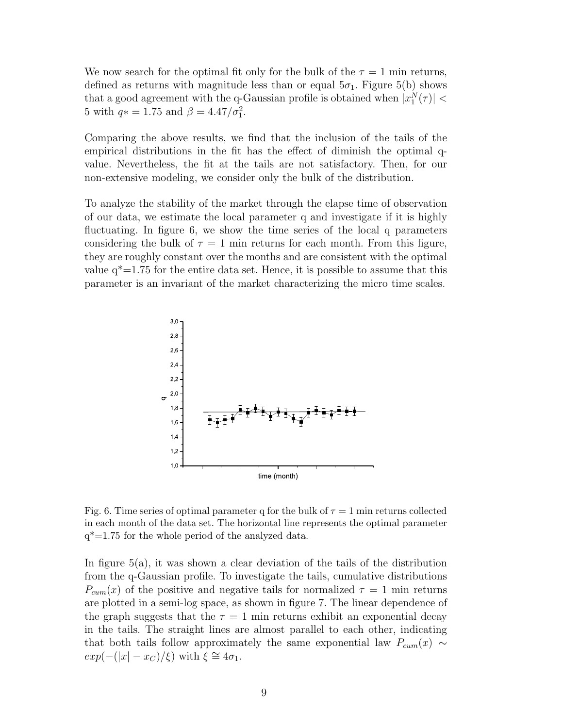We now search for the optimal fit only for the bulk of the  $\tau = 1$  min returns, defined as returns with magnitude less than or equal  $5\sigma_1$ . Figure 5(b) shows that a good agreement with the q-Gaussian profile is obtained when  $|x_1^N(\tau)| <$ 5 with  $q* = 1.75$  and  $\beta = 4.47/\sigma_1^2$ .

Comparing the above results, we find that the inclusion of the tails of the empirical distributions in the fit has the effect of diminish the optimal qvalue. Nevertheless, the fit at the tails are not satisfactory. Then, for our non-extensive modeling, we consider only the bulk of the distribution.

To analyze the stability of the market through the elapse time of observation of our data, we estimate the local parameter q and investigate if it is highly fluctuating. In figure 6, we show the time series of the local q parameters considering the bulk of  $\tau = 1$  min returns for each month. From this figure, they are roughly constant over the months and are consistent with the optimal value  $q^*=1.75$  for the entire data set. Hence, it is possible to assume that this parameter is an invariant of the market characterizing the micro time scales.



Fig. 6. Time series of optimal parameter q for the bulk of  $\tau = 1$  min returns collected in each month of the data set. The horizontal line represents the optimal parameter  $q^*$ =1.75 for the whole period of the analyzed data.

In figure 5(a), it was shown a clear deviation of the tails of the distribution from the q-Gaussian profile. To investigate the tails, cumulative distributions  $P_{cum}(x)$  of the positive and negative tails for normalized  $\tau = 1$  min returns are plotted in a semi-log space, as shown in figure 7. The linear dependence of the graph suggests that the  $\tau = 1$  min returns exhibit an exponential decay in the tails. The straight lines are almost parallel to each other, indicating that both tails follow approximately the same exponential law  $P_{cum}(x) \sim$  $exp(-(|x| - x_C)/\xi)$  with  $\xi \cong 4\sigma_1$ .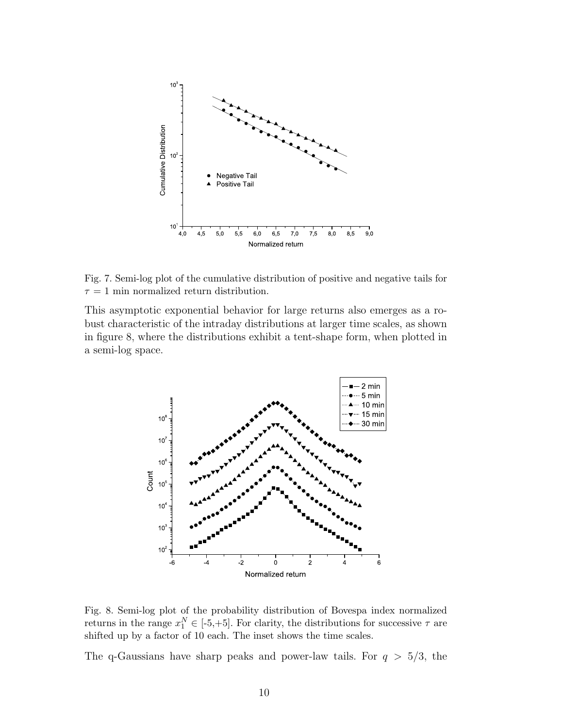

Fig. 7. Semi-log plot of the cumulative distribution of positive and negative tails for  $\tau = 1$  min normalized return distribution.

This asymptotic exponential behavior for large returns also emerges as a robust characteristic of the intraday distributions at larger time scales, as shown in figure 8, where the distributions exhibit a tent-shape form, when plotted in a semi-log space.



Fig. 8. Semi-log plot of the probability distribution of Bovespa index normalized returns in the range  $x_1^N \in [-5, +5]$ . For clarity, the distributions for successive  $\tau$  are shifted up by a factor of 10 each. The inset shows the time scales.

The q-Gaussians have sharp peaks and power-law tails. For  $q > 5/3$ , the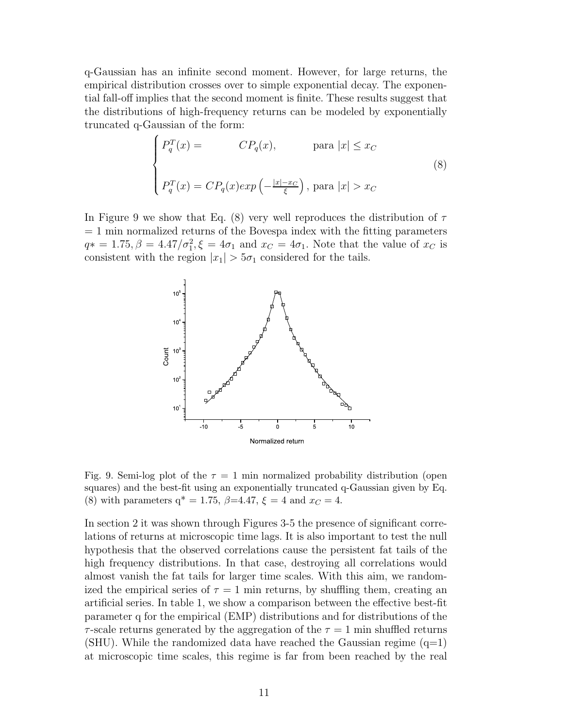q-Gaussian has an infinite second moment. However, for large returns, the empirical distribution crosses over to simple exponential decay. The exponential fall-off implies that the second moment is finite. These results suggest that the distributions of high-frequency returns can be modeled by exponentially truncated q-Gaussian of the form:

$$
\begin{cases}\nP_q^T(x) = & CP_q(x), \qquad \text{para } |x| \le x_C \\
P_q^T(x) = CP_q(x) \exp\left(-\frac{|x| - x_C}{\xi}\right), \text{ para } |x| > x_C\n\end{cases}
$$
\n(8)

In Figure 9 we show that Eq. (8) very well reproduces the distribution of  $\tau$  $= 1$  min normalized returns of the Bovespa index with the fitting parameters  $q* = 1.75, \beta = 4.47/\sigma_1^2, \xi = 4\sigma_1$  and  $x_C = 4\sigma_1$ . Note that the value of  $x_C$  is consistent with the region  $|x_1| > 5\sigma_1$  considered for the tails.



Fig. 9. Semi-log plot of the  $\tau = 1$  min normalized probability distribution (open squares) and the best-fit using an exponentially truncated q-Gaussian given by Eq. (8) with parameters  $q^* = 1.75$ ,  $\beta = 4.47$ ,  $\xi = 4$  and  $x_C = 4$ .

In section 2 it was shown through Figures 3-5 the presence of significant correlations of returns at microscopic time lags. It is also important to test the null hypothesis that the observed correlations cause the persistent fat tails of the high frequency distributions. In that case, destroying all correlations would almost vanish the fat tails for larger time scales. With this aim, we randomized the empirical series of  $\tau = 1$  min returns, by shuffling them, creating an artificial series. In table 1, we show a comparison between the effective best-fit parameter q for the empirical (EMP) distributions and for distributions of the  $\tau$ -scale returns generated by the aggregation of the  $\tau = 1$  min shuffled returns (SHU). While the randomized data have reached the Gaussian regime  $(q=1)$ at microscopic time scales, this regime is far from been reached by the real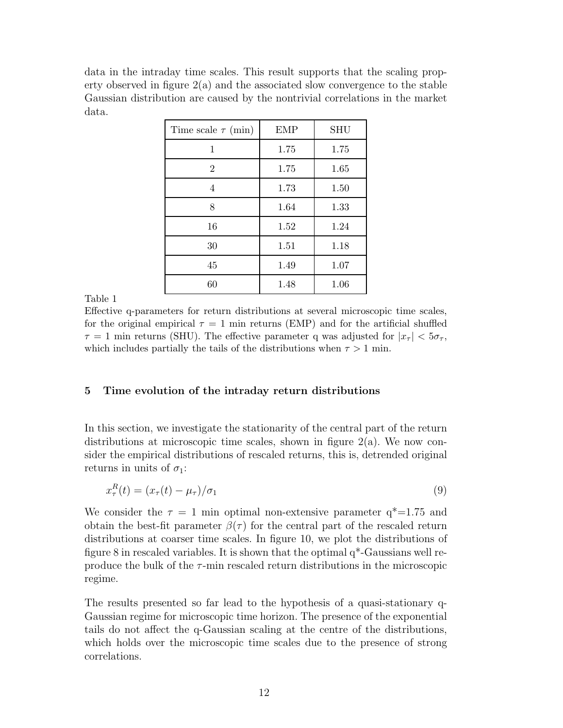data in the intraday time scales. This result supports that the scaling property observed in figure 2(a) and the associated slow convergence to the stable Gaussian distribution are caused by the nontrivial correlations in the market data.

| Time scale $\tau$ (min) | <b>EMP</b> | <b>SHU</b> |
|-------------------------|------------|------------|
| 1                       | 1.75       | 1.75       |
| $\overline{2}$          | 1.75       | 1.65       |
| 4                       | 1.73       | 1.50       |
| 8                       | 1.64       | 1.33       |
| 16                      | 1.52       | 1.24       |
| 30                      | 1.51       | 1.18       |
| 45                      | 1.49       | 1.07       |
| 60                      | 1.48       | 1.06       |

Table 1

Effective q-parameters for return distributions at several microscopic time scales, for the original empirical  $\tau = 1$  min returns (EMP) and for the artificial shuffled  $\tau = 1$  min returns (SHU). The effective parameter q was adjusted for  $|x_{\tau}| < 5\sigma_{\tau}$ , which includes partially the tails of the distributions when  $\tau > 1$  min.

## 5 Time evolution of the intraday return distributions

In this section, we investigate the stationarity of the central part of the return distributions at microscopic time scales, shown in figure  $2(a)$ . We now consider the empirical distributions of rescaled returns, this is, detrended original returns in units of  $\sigma_1$ :

$$
x_{\tau}^{R}(t) = (x_{\tau}(t) - \mu_{\tau})/\sigma_{1}
$$
\n
$$
(9)
$$

We consider the  $\tau = 1$  min optimal non-extensive parameter  $q^* = 1.75$  and obtain the best-fit parameter  $\beta(\tau)$  for the central part of the rescaled return distributions at coarser time scales. In figure 10, we plot the distributions of figure 8 in rescaled variables. It is shown that the optimal  $q^*$ -Gaussians well reproduce the bulk of the  $\tau$ -min rescaled return distributions in the microscopic regime.

The results presented so far lead to the hypothesis of a quasi-stationary q-Gaussian regime for microscopic time horizon. The presence of the exponential tails do not affect the q-Gaussian scaling at the centre of the distributions, which holds over the microscopic time scales due to the presence of strong correlations.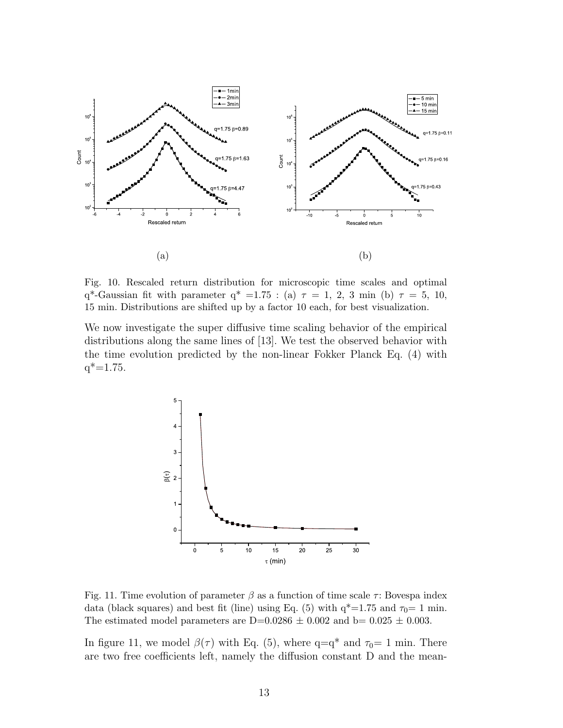

Fig. 10. Rescaled return distribution for microscopic time scales and optimal q<sup>\*</sup>-Gaussian fit with parameter q<sup>\*</sup> =1.75 : (a)  $\tau = 1, 2, 3$  min (b)  $\tau = 5, 10,$ 15 min. Distributions are shifted up by a factor 10 each, for best visualization.

We now investigate the super diffusive time scaling behavior of the empirical distributions along the same lines of [13]. We test the observed behavior with the time evolution predicted by the non-linear Fokker Planck Eq. (4) with  $q^* = 1.75$ .



Fig. 11. Time evolution of parameter  $\beta$  as a function of time scale  $\tau$ : Bovespa index data (black squares) and best fit (line) using Eq. (5) with  $q^*=1.75$  and  $\tau_0=1$  min. The estimated model parameters are  $D=0.0286 \pm 0.002$  and  $b= 0.025 \pm 0.003$ .

In figure 11, we model  $\beta(\tau)$  with Eq. (5), where q=q<sup>\*</sup> and  $\tau_0=1$  min. There are two free coefficients left, namely the diffusion constant D and the mean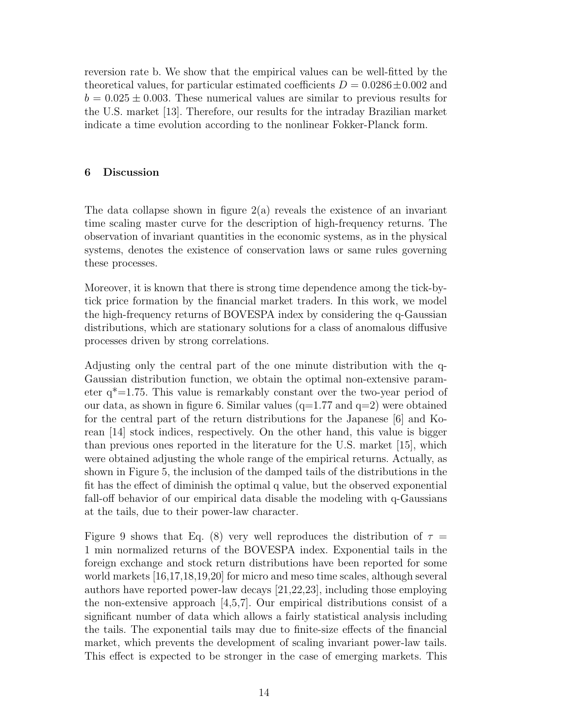reversion rate b. We show that the empirical values can be well-fitted by the theoretical values, for particular estimated coefficients  $D = 0.0286 \pm 0.002$  and  $b = 0.025 \pm 0.003$ . These numerical values are similar to previous results for the U.S. market [13]. Therefore, our results for the intraday Brazilian market indicate a time evolution according to the nonlinear Fokker-Planck form.

#### 6 Discussion

The data collapse shown in figure  $2(a)$  reveals the existence of an invariant time scaling master curve for the description of high-frequency returns. The observation of invariant quantities in the economic systems, as in the physical systems, denotes the existence of conservation laws or same rules governing these processes.

Moreover, it is known that there is strong time dependence among the tick-bytick price formation by the financial market traders. In this work, we model the high-frequency returns of BOVESPA index by considering the q-Gaussian distributions, which are stationary solutions for a class of anomalous diffusive processes driven by strong correlations.

Adjusting only the central part of the one minute distribution with the q-Gaussian distribution function, we obtain the optimal non-extensive parameter  $q^*=1.75$ . This value is remarkably constant over the two-year period of our data, as shown in figure 6. Similar values  $(q=1.77$  and  $q=2)$  were obtained for the central part of the return distributions for the Japanese [6] and Korean [14] stock indices, respectively. On the other hand, this value is bigger than previous ones reported in the literature for the U.S. market [15], which were obtained adjusting the whole range of the empirical returns. Actually, as shown in Figure 5, the inclusion of the damped tails of the distributions in the fit has the effect of diminish the optimal q value, but the observed exponential fall-off behavior of our empirical data disable the modeling with q-Gaussians at the tails, due to their power-law character.

Figure 9 shows that Eq. (8) very well reproduces the distribution of  $\tau =$ 1 min normalized returns of the BOVESPA index. Exponential tails in the foreign exchange and stock return distributions have been reported for some world markets [16,17,18,19,20] for micro and meso time scales, although several authors have reported power-law decays [21,22,23], including those employing the non-extensive approach  $[4,5,7]$ . Our empirical distributions consist of a significant number of data which allows a fairly statistical analysis including the tails. The exponential tails may due to finite-size effects of the financial market, which prevents the development of scaling invariant power-law tails. This effect is expected to be stronger in the case of emerging markets. This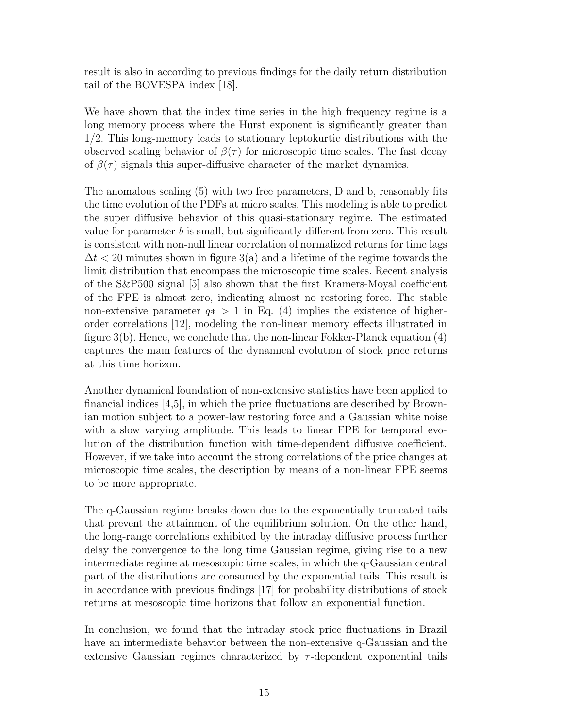result is also in according to previous findings for the daily return distribution tail of the BOVESPA index [18].

We have shown that the index time series in the high frequency regime is a long memory process where the Hurst exponent is significantly greater than 1/2. This long-memory leads to stationary leptokurtic distributions with the observed scaling behavior of  $\beta(\tau)$  for microscopic time scales. The fast decay of  $\beta(\tau)$  signals this super-diffusive character of the market dynamics.

The anomalous scaling (5) with two free parameters, D and b, reasonably fits the time evolution of the PDFs at micro scales. This modeling is able to predict the super diffusive behavior of this quasi-stationary regime. The estimated value for parameter  $b$  is small, but significantly different from zero. This result is consistent with non-null linear correlation of normalized returns for time lags  $\Delta t$  < 20 minutes shown in figure 3(a) and a lifetime of the regime towards the limit distribution that encompass the microscopic time scales. Recent analysis of the S&P500 signal [5] also shown that the first Kramers-Moyal coefficient of the FPE is almost zero, indicating almost no restoring force. The stable non-extensive parameter  $q* > 1$  in Eq. (4) implies the existence of higherorder correlations [12], modeling the non-linear memory effects illustrated in figure 3(b). Hence, we conclude that the non-linear Fokker-Planck equation (4) captures the main features of the dynamical evolution of stock price returns at this time horizon.

Another dynamical foundation of non-extensive statistics have been applied to financial indices [4,5], in which the price fluctuations are described by Brownian motion subject to a power-law restoring force and a Gaussian white noise with a slow varying amplitude. This leads to linear FPE for temporal evolution of the distribution function with time-dependent diffusive coefficient. However, if we take into account the strong correlations of the price changes at microscopic time scales, the description by means of a non-linear FPE seems to be more appropriate.

The q-Gaussian regime breaks down due to the exponentially truncated tails that prevent the attainment of the equilibrium solution. On the other hand, the long-range correlations exhibited by the intraday diffusive process further delay the convergence to the long time Gaussian regime, giving rise to a new intermediate regime at mesoscopic time scales, in which the q-Gaussian central part of the distributions are consumed by the exponential tails. This result is in accordance with previous findings [17] for probability distributions of stock returns at mesoscopic time horizons that follow an exponential function.

In conclusion, we found that the intraday stock price fluctuations in Brazil have an intermediate behavior between the non-extensive q-Gaussian and the extensive Gaussian regimes characterized by  $\tau$ -dependent exponential tails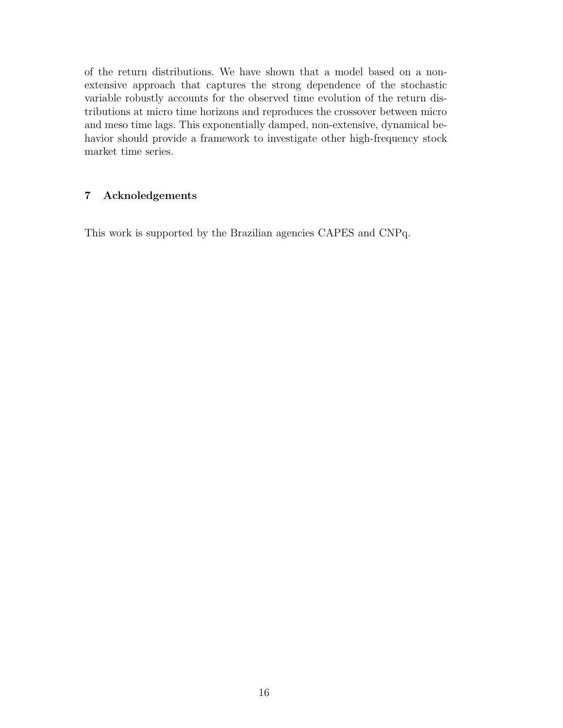of the return distributions. We have shown that a model based on a nonextensive approach that captures the strong dependence of the stochastic variable robustly accounts for the observed time evolution of the return distributions at micro time horizons and reproduces the crossover between micro and meso time lags. This exponentially damped, non-extensive, dynamical behavior should provide a framework to investigate other high-frequency stock market time series.

## 7 Acknoledgements

This work is supported by the Brazilian agencies CAPES and CNPq.